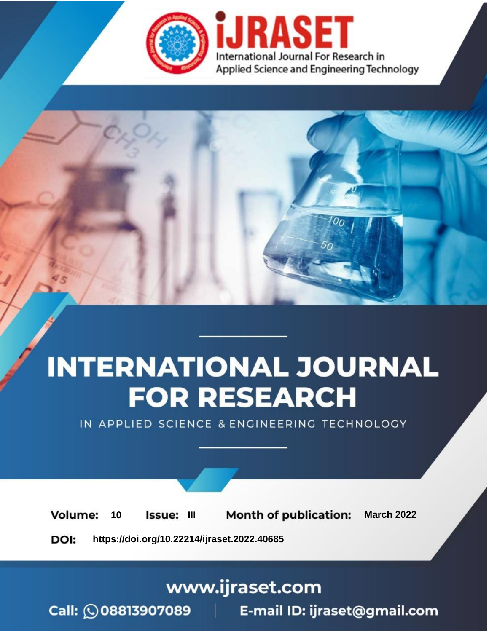

# **INTERNATIONAL JOURNAL FOR RESEARCH**

IN APPLIED SCIENCE & ENGINEERING TECHNOLOGY

10 **Issue: III Month of publication:** March 2022 **Volume:** 

**https://doi.org/10.22214/ijraset.2022.40685**DOI:

www.ijraset.com

Call: 008813907089 | E-mail ID: ijraset@gmail.com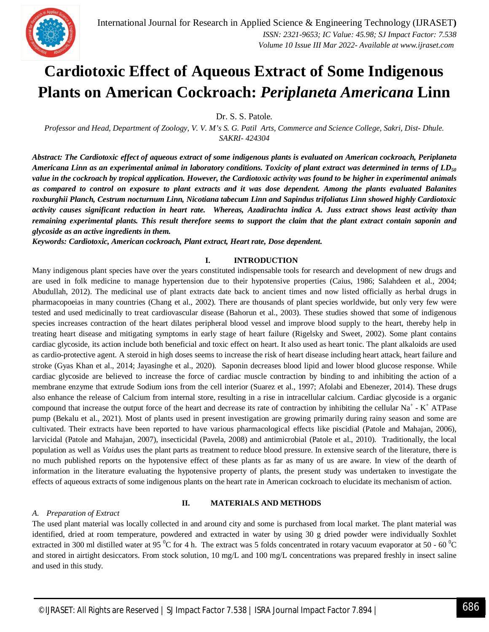

### **Cardiotoxic Effect of Aqueous Extract of Some Indigenous Plants on American Cockroach:** *Periplaneta Americana* **Linn**

Dr. S. S. Patole.

*Professor and Head, Department of Zoology, V. V. M's S. G. Patil Arts, Commerce and Science College, Sakri, Dist- Dhule. SAKRI- 424304*

*Abstract: The Cardiotoxic effect of aqueous extract of some indigenous plants is evaluated on American cockroach, Periplaneta Americana Linn as an experimental animal in laboratory conditions. Toxicity of plant extract was determined in terms of LD<sup>50</sup> value in the cockroach by tropical application. However, the Cardiotoxic activity was found to be higher in experimental animals as compared to control on exposure to plant extracts and it was dose dependent. Among the plants evaluated Balanites roxburghii Planch, Cestrum nocturnum Linn, Nicotiana tabecum Linn and Sapindus trifoliatus Linn showed highly Cardiotoxic activity causes significant reduction in heart rate. Whereas, Azadirachta indica A. Juss extract shows least activity than remaining experimental plants. This result therefore seems to support the claim that the plant extract contain saponin and glycoside as an active ingredients in them.* 

*Keywords: Cardiotoxic, American cockroach, Plant extract, Heart rate, Dose dependent.* 

#### **I. INTRODUCTION**

Many indigenous plant species have over the years constituted indispensable tools for research and development of new drugs and are used in folk medicine to manage hypertension due to their hypotensive properties (Caius, 1986; Salahdeen et al., 2004; Abudullah, 2012). The medicinal use of plant extracts date back to ancient times and now listed officially as herbal drugs in pharmacopoeias in many countries (Chang et al., 2002). There are thousands of plant species worldwide, but only very few were tested and used medicinally to treat cardiovascular disease (Bahorun et al., 2003). These studies showed that some of indigenous species increases contraction of the heart dilates peripheral blood vessel and improve blood supply to the heart, thereby help in treating heart disease and mitigating symptoms in early stage of heart failure (Rigelsky and Sweet, 2002). Some plant contains cardiac glycoside, its action include both beneficial and toxic effect on heart. It also used as heart tonic. The plant alkaloids are used as cardio-protective agent. A steroid in high doses seems to increase the risk of heart disease including heart attack, heart failure and stroke (Gyas Khan et al., 2014; Jayasinghe et al., 2020). Saponin decreases blood lipid and lower blood glucose response. While cardiac glycoside are believed to increase the force of cardiac muscle contraction by binding to and inhibiting the action of a membrane enzyme that extrude Sodium ions from the cell interior (Suarez et al., 1997; Afolabi and Ebenezer, 2014). These drugs also enhance the release of Calcium from internal store, resulting in a rise in intracellular calcium. Cardiac glycoside is a organic compound that increase the output force of the heart and decrease its rate of contraction by inhibiting the cellular  $Na^+$  -  $K^+$  ATPase pump (Bekalu et al., 2021). Most of plants used in present investigation are growing primarily during rainy season and some are cultivated. Their extracts have been reported to have various pharmacological effects like piscidial (Patole and Mahajan, 2006), larvicidal (Patole and Mahajan, 2007), insecticidal (Pavela, 2008) and antimicrobial (Patole et al., 2010). Traditionally, the local population as well as *Vaidus* uses the plant parts as treatment to reduce blood pressure. In extensive search of the literature, there is no much published reports on the hypotensive effect of these plants as far as many of us are aware. In view of the dearth of information in the literature evaluating the hypotensive property of plants, the present study was undertaken to investigate the effects of aqueous extracts of some indigenous plants on the heart rate in American cockroach to elucidate its mechanism of action.

#### **II. MATERIALS AND METHODS**

#### *A. Preparation of Extract*

The used plant material was locally collected in and around city and some is purchased from local market. The plant material was identified, dried at room temperature, powdered and extracted in water by using 30 g dried powder were individually Soxhlet extracted in 300 ml distilled water at 95  $^{\circ}$ C for 4 h. The extract was 5 folds concentrated in rotary vacuum evaporator at 50 - 60  $^{\circ}$ C and stored in airtight desiccators. From stock solution, 10 mg/L and 100 mg/L concentrations was prepared freshly in insect saline and used in this study.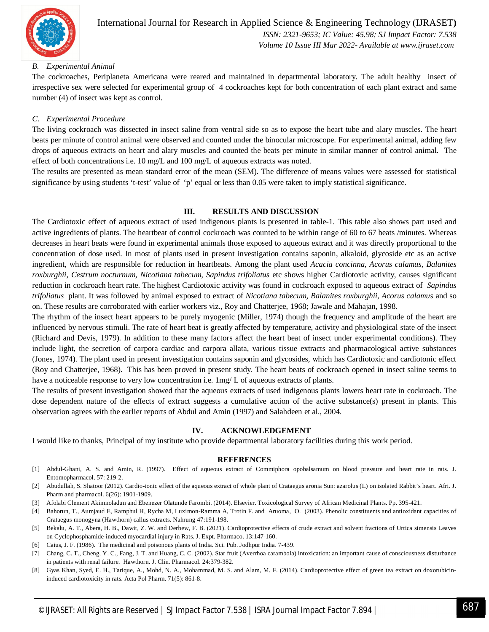

#### *B. Experimental Animal*

The cockroaches, Periplaneta Americana were reared and maintained in departmental laboratory. The adult healthy insect of irrespective sex were selected for experimental group of 4 cockroaches kept for both concentration of each plant extract and same number (4) of insect was kept as control.

#### *C. Experimental Procedure*

The living cockroach was dissected in insect saline from ventral side so as to expose the heart tube and alary muscles. The heart beats per minute of control animal were observed and counted under the binocular microscope. For experimental animal, adding few drops of aqueous extracts on heart and alary muscles and counted the beats per minute in similar manner of control animal. The effect of both concentrations i.e. 10 mg/L and 100 mg/L of aqueous extracts was noted.

The results are presented as mean standard error of the mean (SEM). The difference of means values were assessed for statistical significance by using students 't-test' value of 'p' equal or less than 0.05 were taken to imply statistical significance.

#### **III. RESULTS AND DISCUSSION**

The Cardiotoxic effect of aqueous extract of used indigenous plants is presented in table-1. This table also shows part used and active ingredients of plants. The heartbeat of control cockroach was counted to be within range of 60 to 67 beats /minutes. Whereas decreases in heart beats were found in experimental animals those exposed to aqueous extract and it was directly proportional to the concentration of dose used. In most of plants used in present investigation contains saponin, alkaloid, glycoside etc as an active ingredient, which are responsible for reduction in heartbeats. Among the plant used *Acacia concinna, Acorus calamus, Balanites roxburghii, Cestrum nocturnum, Nicotiana tabecum, Sapindus trifoliatus* etc shows higher Cardiotoxic activity, causes significant reduction in cockroach heart rate. The highest Cardiotoxic activity was found in cockroach exposed to aqueous extract of *Sapindus trifoliatus* plant. It was followed by animal exposed to extract of *Nicotiana tabecum, Balanites roxburghii, Acorus calamus* and so on. These results are corroborated with earlier workers viz., Roy and Chatterjee, 1968; Jawale and Mahajan, 1998.

The rhythm of the insect heart appears to be purely myogenic (Miller, 1974) though the frequency and amplitude of the heart are influenced by nervous stimuli. The rate of heart beat is greatly affected by temperature, activity and physiological state of the insect (Richard and Devis, 1979). In addition to these many factors affect the heart beat of insect under experimental conditions). They include light, the secretion of carpora cardiac and carpora allata, various tissue extracts and pharmacological active substances (Jones, 1974). The plant used in present investigation contains saponin and glycosides, which has Cardiotoxic and cardiotonic effect (Roy and Chatterjee, 1968). This has been proved in present study. The heart beats of cockroach opened in insect saline seems to have a noticeable response to very low concentration i.e.  $\text{Im}g/L$  of aqueous extracts of plants.

The results of present investigation showed that the aqueous extracts of used indigenous plants lowers heart rate in cockroach. The dose dependent nature of the effects of extract suggests a cumulative action of the active substance(s) present in plants. This observation agrees with the earlier reports of Abdul and Amin (1997) and Salahdeen et al., 2004.

#### **IV. ACKNOWLEDGEMENT**

I would like to thanks, Principal of my institute who provide departmental laboratory facilities during this work period.

#### **REFERENCES**

- [1] Abdul-Ghani, A. S. and Amin, R. (1997). Effect of aqueous extract of Commiphora opobalsamum on blood pressure and heart rate in rats. J. Entomopharmacol. 57: 219-2.
- [2] Abudullah, S. Shatoor (2012). Cardio-tonic effect of the aqueous extract of whole plant of Crataegus aronia Sun: azarolus (L) on isolated Rabbit's heart. Afri. J. Pharm and pharmacol. 6(26): 1901-1909.
- [3] Afolabi Clement Akinmoladun and Ebenezer Olatunde Farombi. (2014). Elsevier. Toxicological Survey of African Medicinal Plants. Pp. 395-421.
- [4] Bahorun, T., Aumjaud E, Ramphul H, Rycha M, Luximon-Ramma A, Trotin F. and Aruoma, O. (2003). Phenolic constituents and antioxidant capacities of Crataegus monogyna (Hawthorn) callus extracts. Nahrung 47:191-198.
- [5] Bekalu, A. T., Abera, H. B., Dawit, Z. W. and Derbew, F. B. (2021). Cardioprotective effects of crude extract and solvent fractions of Urtica simensis Leaves on Cyclophosphamide-induced myocardial injury in Rats. J. Expt. Pharmaco. 13:147-160.
- [6] Caius, J. F. (1986). The medicinal and poisonous plants of India. Sci. Pub. Jodhpur India. 7-439.
- [7] Chang, C. T., Cheng, Y. C., Fang, J. T. and Huang, C. C. (2002). Star fruit (Averrhoa carambola) intoxication: an important cause of consciousness disturbance in patients with renal failure. Hawthorn. J. Clin. Pharmacol. 24:379-382.
- [8] Gyas Khan, Syed, E. H., Tarique, A., Mohd, N. A., Mohammad, M. S. and Alam, M. F. (2014). Cardioprotective effect of green tea extract on doxorubicininduced cardiotoxicity in rats. Acta Pol Pharm. 71(5): 861-8.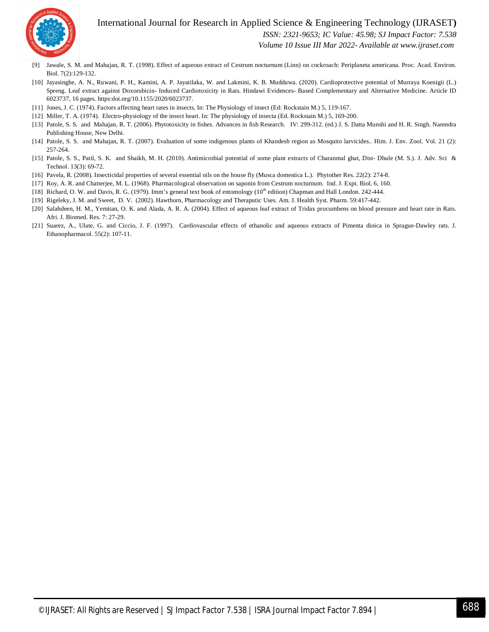

#### International Journal for Research in Applied Science & Engineering Technology (IJRASET**)**  *ISSN: 2321-9653; IC Value: 45.98; SJ Impact Factor: 7.538*

 *Volume 10 Issue III Mar 2022- Available at www.ijraset.com*

- [9] Jawale, S. M. and Mahajan, R. T. (1998). Effect of aqueous extract of Cestrum nocturnum (Linn) on cockroach: Periplaneta americana. Proc. Acad. Environ. Biol. 7(2):129-132.
- [10] Jayasinghe, A. N., Ruwani, P. H., Kamini, A. P. Jayatilaka, W. and Lakmini, K. B. Mudduwa. (2020). Cardioprotective potential of Murraya Koenigii (L.) Spreng. Leaf extract against Doxorubicin- Induced Cardiotoxicity in Rats. Hindawi Evidences- Based Complementary and Alternative Medicine. Article ID 6023737, 16 pages. https:doi.org/10.1155/2020/6023737.
- [11] Jones, J. C. (1974). Factors affecting heart rates in insects, In: The Physiology of insect (Ed: Rockstain M.) 5, 119-167.
- [12] Miller, T. A. (1974). Electro-physiology of the insect heart. In: The physiology of insecta (Ed. Rockstain M.) 5, 169-200.
- [13] Patole, S. S. and Mahajan, R. T. (2006). Phytotoxicity in fishes. Advances in fish Research. IV: 299-312. (ed.) J. S. Datta Munshi and H. R. Singh. Narendra Publishing House, New Delhi.
- [14] Patole, S. S. and Mahajan, R. T. (2007). Evaluation of some indigenous plants of Khandesh region as Mosquito larvicides.. Him. J. Env. Zool. Vol. 21 (2): 257-264.
- [15] Patole, S. S., Patil, S. K. and Shaikh, M. H. (2010). Antimicrobial potential of some plant extracts of Charanmal ghat, Dist- Dhule (M. S.). J. Adv. Sci & Technol. 13(3): 69-72.
- [16] Pavela, R. (2008). Insecticidal properties of several essential oils on the house fly (Musca domestica L.). Phytother Res. 22(2): 274-8.
- [17] Roy, A. R. and Chatterjee, M. L. (1968). Pharmacological observation on saponin from Cestrum nocturnum. Ind. J. Expt. Biol. 6, 160.
- [18] Richard, O. W. and Davis, R. G. (1979). Imm's general text book of entomology  $(10<sup>th</sup>$ edition) Chapman and Hall London. 242-444.
- [19] Rigeleky, J. M. and Sweet, D. V. (2002). Hawthorn, Pharmacology and Theraputic Uses. Am. J. Health Syst. Pharm. 59:417-442.
- [20] Salahdeen, H. M., Yemitan, O. K. and Alada, A. R. A. (2004). Effect of aqueous leaf extract of Tridax procumbens on blood pressure and heart rate in Rats. Afri. J. Biomed. Res. 7: 27-29.
- [21] Suarez, A., Ulate, G. and Ciccio, J. F. (1997). Cardiovascular effects of ethanolic and aqueous extracts of Pimenta dioica in Sprague-Dawley rats. J. Ethanopharmacol. 55(2): 107-11.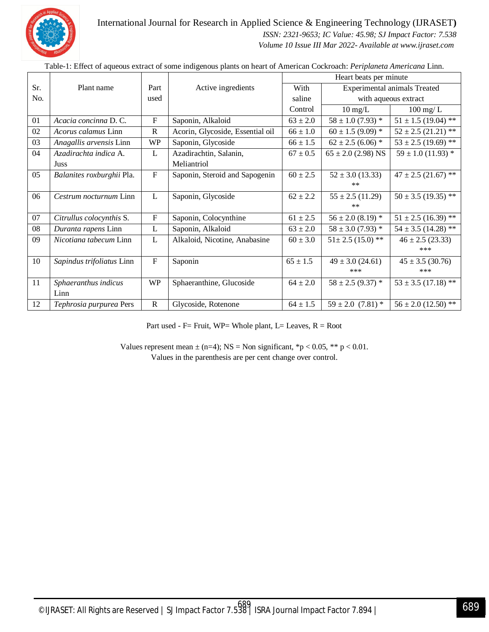

International Journal for Research in Applied Science & Engineering Technology (IJRASET**)**

 *ISSN: 2321-9653; IC Value: 45.98; SJ Impact Factor: 7.538 Volume 10 Issue III Mar 2022- Available at www.ijraset.com*

Sr. No. Plant name Part used Active ingredients Heart beats per minute With saline Control Experimental animals Treated with aqueous extract  $\overline{10}$  mg/L  $\qquad$   $\qquad$   $\qquad$   $\qquad$   $\qquad$   $\qquad$   $\qquad$   $\qquad$   $\qquad$   $\qquad$   $\qquad$   $\qquad$   $\qquad$   $\qquad$   $\qquad$   $\qquad$   $\qquad$   $\qquad$   $\qquad$   $\qquad$   $\qquad$   $\qquad$   $\qquad$   $\qquad$   $\qquad$   $\qquad$   $\qquad$   $\qquad$   $\qquad$   $\qquad$   $\qquad$   $\qquad$   $\qquad$   $\qquad$   $\$ 01 *Acacia concinna* D. C. **F** Saponin, Alkaloid 63 ± 2.0 58 ± 1.0 (7.93) \* 51 ± 1.5 (19.04) \*\* 02 *Acorus calamus* Linn R Acorin, Glycoside, Essential oil  $66 \pm 1.0$  60  $\pm 1.5$  (9.09) \* 52  $\pm 2.5$  (21.21) \*\* 03 *Anagallis arvensis* Linn WP Saponin, Glycoside 66 ± 1.5 62 ± 2.5 (6.06) \* 53 ± 2.5 (19.69) \*\* 04 *Azadirachta indica* A. Juss L Azadirachtin, Salanin, Meliantriol  $67 \pm 0.5$  65  $\pm 2.0$  (2.98) NS  $\pm 59 \pm 1.0$  (11.93) \* 05 *Balanites roxburghii* Pla. F Saponin, Steroid and Sapogenin  $\begin{bmatrix} 60 \pm 2.5 \end{bmatrix}$  52  $\pm$  3.0 (13.33) \*\*  $47 \pm 2.5$  (21.67) \*\* 06 *Cestrum nocturnum* Linn L Saponin, Glycoside 62 ± 2.2 55 ± 2.5 (11.29) \*\*  $50 \pm 3.5$  (19.35) \*\* 07 *Citrullus colocynthis* S. **F** Saponin, Colocynthine 61 ± 2.5  $56 \pm 2.0 (8.19) * 51 \pm 2.5 (16.39) **$ 08 *Duranta rapens* Linn L Saponin, Alkaloid 63 ± 2.0 58 ± 3.0 (7.93) \* 54 ± 3.5 (14.28) \*\* 09 *Nicotiana tabecum* Linn L Alkaloid, Nicotine, Anabasine 60 ± 3.0 51± 2.5 (15.0) \*\* 46 ± 2.5 (23.33) \*\*\* 10 *Sapindus trifoliatus* Linn F Saponin 65 ± 1.5 49 ± 3.0 (24.61) \*\*\*  $45 \pm 3.5$  (30.76) \*\*\* 11 *Sphaeranthus indicus* Linn WP Sphaeranthine, Glucoside 64 ± 2.0  $58 \pm 2.5 (9.37) *$  53 ± 3.5 (17.18) \*\* 12 *Tephrosia purpurea* Pers R Glycoside, Rotenone 64 ± 1.5  $59 \pm 2.0$  (7.81) \* 56 ± 2.0 (12.50) \*\*

Table-1: Effect of aqueous extract of some indigenous plants on heart of American Cockroach: *Periplaneta Americana* Linn.

Part used - F= Fruit, WP= Whole plant, L= Leaves,  $R = Root$ 

Values represent mean  $\pm$  (n=4); NS = Non significant, \*p < 0.05, \*\* p < 0.01. Values in the parenthesis are per cent change over control.